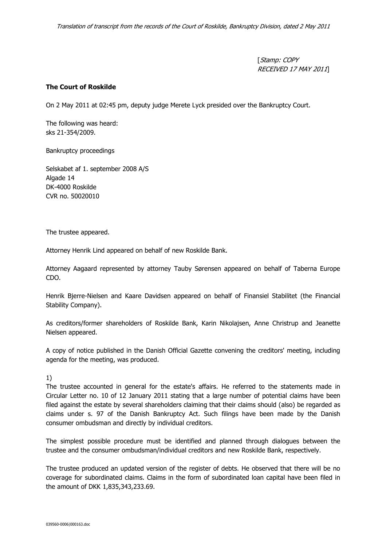[Stamp: COPY RECEIVED 17 MAY 2011]

## The Court of Roskilde

On 2 May 2011 at 02:45 pm, deputy judge Merete Lyck presided over the Bankruptcy Court.

The following was heard: sks 21-354/2009.

Bankruptcy proceedings

Selskabet af 1. september 2008 A/S Algade 14 DK-4000 Roskilde CVR no. 50020010

The trustee appeared.

Attorney Henrik Lind appeared on behalf of new Roskilde Bank.

Attorney Aagaard represented by attorney Tauby Sørensen appeared on behalf of Taberna Europe CDO.

Henrik Bjerre-Nielsen and Kaare Davidsen appeared on behalf of Finansiel Stabilitet (the Financial Stability Company).

As creditors/former shareholders of Roskilde Bank, Karin Nikolajsen, Anne Christrup and Jeanette Nielsen appeared.

A copy of notice published in the Danish Official Gazette convening the creditors' meeting, including agenda for the meeting, was produced.

## 1)

The trustee accounted in general for the estate's affairs. He referred to the statements made in Circular Letter no. 10 of 12 January 2011 stating that a large number of potential claims have been filed against the estate by several shareholders claiming that their claims should (also) be regarded as claims under s. 97 of the Danish Bankruptcy Act. Such filings have been made by the Danish consumer ombudsman and directly by individual creditors.

The simplest possible procedure must be identified and planned through dialogues between the trustee and the consumer ombudsman/individual creditors and new Roskilde Bank, respectively.

The trustee produced an updated version of the register of debts. He observed that there will be no coverage for subordinated claims. Claims in the form of subordinated loan capital have been filed in the amount of DKK 1,835,343,233.69.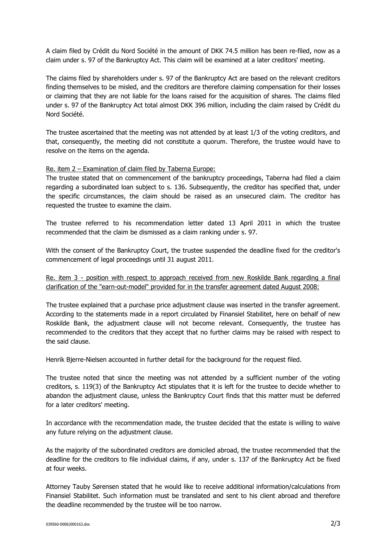A claim filed by Crédit du Nord Société in the amount of DKK 74.5 million has been re-filed, now as a claim under s. 97 of the Bankruptcy Act. This claim will be examined at a later creditors' meeting.

The claims filed by shareholders under s. 97 of the Bankruptcy Act are based on the relevant creditors finding themselves to be misled, and the creditors are therefore claiming compensation for their losses or claiming that they are not liable for the loans raised for the acquisition of shares. The claims filed under s. 97 of the Bankruptcy Act total almost DKK 396 million, including the claim raised by Crédit du Nord Société.

The trustee ascertained that the meeting was not attended by at least 1/3 of the voting creditors, and that, consequently, the meeting did not constitute a quorum. Therefore, the trustee would have to resolve on the items on the agenda.

Re. item 2 – Examination of claim filed by Taberna Europe:

The trustee stated that on commencement of the bankruptcy proceedings, Taberna had filed a claim regarding a subordinated loan subject to s. 136. Subsequently, the creditor has specified that, under the specific circumstances, the claim should be raised as an unsecured claim. The creditor has requested the trustee to examine the claim.

The trustee referred to his recommendation letter dated 13 April 2011 in which the trustee recommended that the claim be dismissed as a claim ranking under s. 97.

With the consent of the Bankruptcy Court, the trustee suspended the deadline fixed for the creditor's commencement of legal proceedings until 31 august 2011.

Re. item 3 - position with respect to approach received from new Roskilde Bank regarding a final clarification of the "earn-out-model" provided for in the transfer agreement dated August 2008:

The trustee explained that a purchase price adjustment clause was inserted in the transfer agreement. According to the statements made in a report circulated by Finansiel Stabilitet, here on behalf of new Roskilde Bank, the adjustment clause will not become relevant. Consequently, the trustee has recommended to the creditors that they accept that no further claims may be raised with respect to the said clause.

Henrik Bjerre-Nielsen accounted in further detail for the background for the request filed.

The trustee noted that since the meeting was not attended by a sufficient number of the voting creditors, s. 119(3) of the Bankruptcy Act stipulates that it is left for the trustee to decide whether to abandon the adjustment clause, unless the Bankruptcy Court finds that this matter must be deferred for a later creditors' meeting.

In accordance with the recommendation made, the trustee decided that the estate is willing to waive any future relying on the adjustment clause.

As the majority of the subordinated creditors are domiciled abroad, the trustee recommended that the deadline for the creditors to file individual claims, if any, under s. 137 of the Bankruptcy Act be fixed at four weeks.

Attorney Tauby Sørensen stated that he would like to receive additional information/calculations from Finansiel Stabilitet. Such information must be translated and sent to his client abroad and therefore the deadline recommended by the trustee will be too narrow.